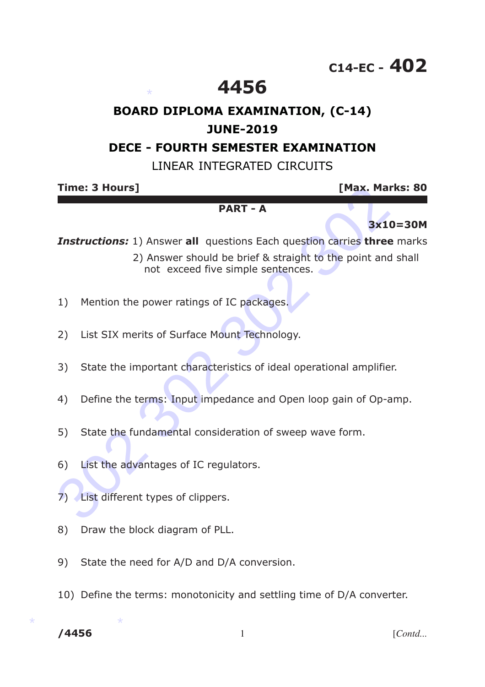# **C14-EC - 402**

## **4456**

## **BOARD DIPLOMA EXAMINATION, (C-14) JUNE-2019**

## **DECE - FOURTH SEMESTER EXAMINATION**

### LINEAR INTEGRATED CIRCUITS

**Time: 3 Hours] [Max. Marks: 80**

#### **PART - A**

### **3x10=30M**

*Instructions:* 1) Answer **all** questions Each question carries **three** marks

- **EXECUTE:** 19 IMAX. Mark:<br> **PART A**<br> **BART A**<br> **BART A**<br> **BART A**<br> **BART A**<br> **BART A**<br> **BART A**<br> **BART A**<br> **BART A**<br> **BART A**<br> **BART A**<br> **BART A**<br> **BART A**<br> **BART A**<br> **BART A**<br> **BART A**<br> **BA**  2) Answer should be brief & straight to the point and shall not exceed five simple sentences.
- 1) Mention the power ratings of IC packages.

\*

- 2) List SIX merits of Surface Mount Technology.
- 3) State the important characteristics of ideal operational amplifier.
- 4) Define the terms: Input impedance and Open loop gain of Op-amp.
- 5) State the fundamental consideration of sweep wave form.
- 6) List the advantages of IC regulators.
- 7) List different types of clippers.
- 8) Draw the block diagram of PLL.
- 9) State the need for A/D and D/A conversion.
- 10) Define the terms: monotonicity and settling time of D/A converter.

 $*$  \* \* **/4456** 1